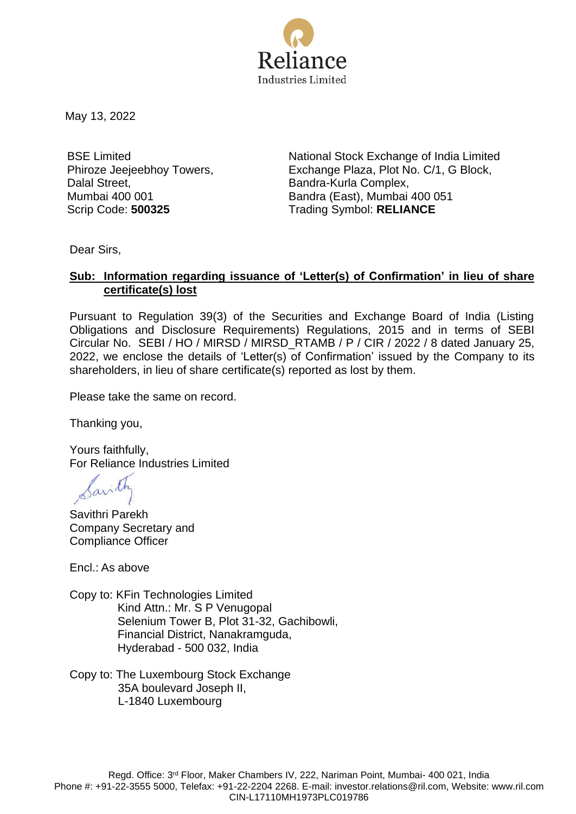

May 13, 2022

BSE Limited Phiroze Jeejeebhoy Towers, Dalal Street, Mumbai 400 001

National Stock Exchange of India Limited Exchange Plaza, Plot No. C/1, G Block, Bandra-Kurla Complex, Bandra (East), Mumbai 400 051 Scrip Code: **500325** Trading Symbol: **RELIANCE**

Dear Sirs,

# **Sub: Information regarding issuance of 'Letter(s) of Confirmation' in lieu of share certificate(s) lost**

Pursuant to Regulation 39(3) of the Securities and Exchange Board of India (Listing Obligations and Disclosure Requirements) Regulations, 2015 and in terms of SEBI Circular No. SEBI / HO / MIRSD / MIRSD\_RTAMB / P / CIR / 2022 / 8 dated January 25, 2022, we enclose the details of 'Letter(s) of Confirmation' issued by the Company to its shareholders, in lieu of share certificate(s) reported as lost by them.

Please take the same on record.

Thanking you,

Yours faithfully, For Reliance Industries Limited

Savithri Parekh Company Secretary and Compliance Officer

Encl.: As above

- Copy to: KFin Technologies Limited Kind Attn.: Mr. S P Venugopal Selenium Tower B, Plot 31-32, Gachibowli, Financial District, Nanakramguda, Hyderabad - 500 032, India
- Copy to: The Luxembourg Stock Exchange 35A boulevard Joseph II, L-1840 Luxembourg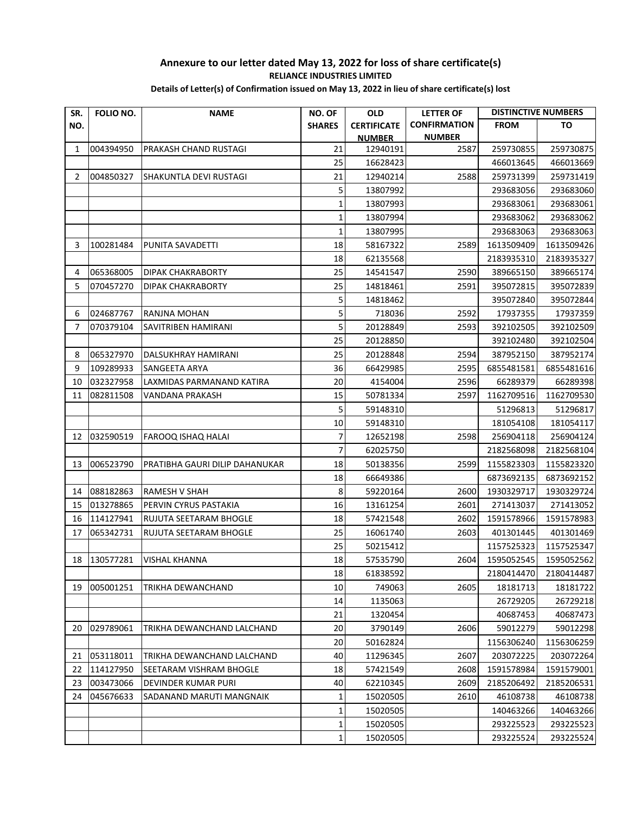| SR. | FOLIO NO. | <b>NAME</b>                    | NO. OF        | <b>OLD</b>         | <b>LETTER OF</b>    | <b>DISTINCTIVE NUMBERS</b> |            |
|-----|-----------|--------------------------------|---------------|--------------------|---------------------|----------------------------|------------|
| NO. |           |                                | <b>SHARES</b> | <b>CERTIFICATE</b> | <b>CONFIRMATION</b> | <b>FROM</b>                | TO         |
|     |           |                                |               | <b>NUMBER</b>      | <b>NUMBER</b>       |                            |            |
| 1   | 004394950 | PRAKASH CHAND RUSTAGI          | 21            | 12940191           | 2587                | 259730855                  | 259730875  |
|     |           |                                | 25            | 16628423           |                     | 466013645                  | 466013669  |
| 2   | 004850327 | SHAKUNTLA DEVI RUSTAGI         | 21            | 12940214           | 2588                | 259731399                  | 259731419  |
|     |           |                                | 5             | 13807992           |                     | 293683056                  | 293683060  |
|     |           |                                | 1             | 13807993           |                     | 293683061                  | 293683061  |
|     |           |                                | $\mathbf{1}$  | 13807994           |                     | 293683062                  | 293683062  |
|     |           |                                | 1             | 13807995           |                     | 293683063                  | 293683063  |
| 3   | 100281484 | PUNITA SAVADETTI               | 18            | 58167322           | 2589                | 1613509409                 | 1613509426 |
|     |           |                                | 18            | 62135568           |                     | 2183935310                 | 2183935327 |
| 4   | 065368005 | <b>DIPAK CHAKRABORTY</b>       | 25            | 14541547           | 2590                | 389665150                  | 389665174  |
| 5   | 070457270 | DIPAK CHAKRABORTY              | 25            | 14818461           | 2591                | 395072815                  | 395072839  |
|     |           |                                | 5             | 14818462           |                     | 395072840                  | 395072844  |
| 6   | 024687767 | RANJNA MOHAN                   | 5             | 718036             | 2592                | 17937355                   | 17937359   |
| 7   | 070379104 | SAVITRIBEN HAMIRANI            | 5             | 20128849           | 2593                | 392102505                  | 392102509  |
|     |           |                                | 25            | 20128850           |                     | 392102480                  | 392102504  |
| 8   | 065327970 | DALSUKHRAY HAMIRANI            | 25            | 20128848           | 2594                | 387952150                  | 387952174  |
| 9   | 109289933 | SANGEETA ARYA                  | 36            | 66429985           | 2595                | 6855481581                 | 6855481616 |
| 10  | 032327958 | LAXMIDAS PARMANAND KATIRA      | 20            | 4154004            | 2596                | 66289379                   | 66289398   |
| 11  | 082811508 | VANDANA PRAKASH                | 15            | 50781334           | 2597                | 1162709516                 | 1162709530 |
|     |           |                                | 5             | 59148310           |                     | 51296813                   | 51296817   |
|     |           |                                | 10            | 59148310           |                     | 181054108                  | 181054117  |
| 12  | 032590519 | <b>FAROOQ ISHAQ HALAI</b>      | 7             | 12652198           | 2598                | 256904118                  | 256904124  |
|     |           |                                | 7             | 62025750           |                     | 2182568098                 | 2182568104 |
| 13  | 006523790 | PRATIBHA GAURI DILIP DAHANUKAR | 18            | 50138356           | 2599                | 1155823303                 | 1155823320 |
|     |           |                                | 18            | 66649386           |                     | 6873692135                 | 6873692152 |
| 14  | 088182863 | RAMESH V SHAH                  | 8             | 59220164           | 2600                | 1930329717                 | 1930329724 |
| 15  | 013278865 | PERVIN CYRUS PASTAKIA          | 16            | 13161254           | 2601                | 271413037                  | 271413052  |
| 16  | 114127941 | RUJUTA SEETARAM BHOGLE         | 18            | 57421548           | 2602                | 1591578966                 | 1591578983 |
| 17  | 065342731 | RUJUTA SEETARAM BHOGLE         | 25            | 16061740           | 2603                | 401301445                  | 401301469  |
|     |           |                                | 25            | 50215412           |                     | 1157525323                 | 1157525347 |
| 18  | 130577281 | <b>VISHAL KHANNA</b>           | 18            | 57535790           | 2604                | 1595052545                 | 1595052562 |
|     |           |                                | 18            | 61838592           |                     | 2180414470                 | 2180414487 |
| 19  | 005001251 | TRIKHA DEWANCHAND              | 10            | 749063             | 2605                | 18181713                   | 18181722   |
|     |           |                                | 14            | 1135063            |                     | 26729205                   | 26729218   |
|     |           |                                | 21            | 1320454            |                     | 40687453                   | 40687473   |
| 20  | 029789061 | TRIKHA DEWANCHAND LALCHAND     | 20            | 3790149            | 2606                | 59012279                   | 59012298   |
|     |           |                                | 20            | 50162824           |                     | 1156306240                 | 1156306259 |
| 21  | 053118011 | TRIKHA DEWANCHAND LALCHAND     | 40            | 11296345           | 2607                | 203072225                  | 203072264  |
| 22  | 114127950 | SEETARAM VISHRAM BHOGLE        | 18            | 57421549           | 2608                | 1591578984                 | 1591579001 |
| 23  | 003473066 | DEVINDER KUMAR PURI            | 40            | 62210345           | 2609                | 2185206492                 | 2185206531 |
| 24  | 045676633 | SADANAND MARUTI MANGNAIK       | 1             | 15020505           | 2610                | 46108738                   | 46108738   |
|     |           |                                | $\mathbf{1}$  | 15020505           |                     | 140463266                  | 140463266  |
|     |           |                                | 1             | 15020505           |                     | 293225523                  | 293225523  |
|     |           |                                | 1             | 15020505           |                     | 293225524                  | 293225524  |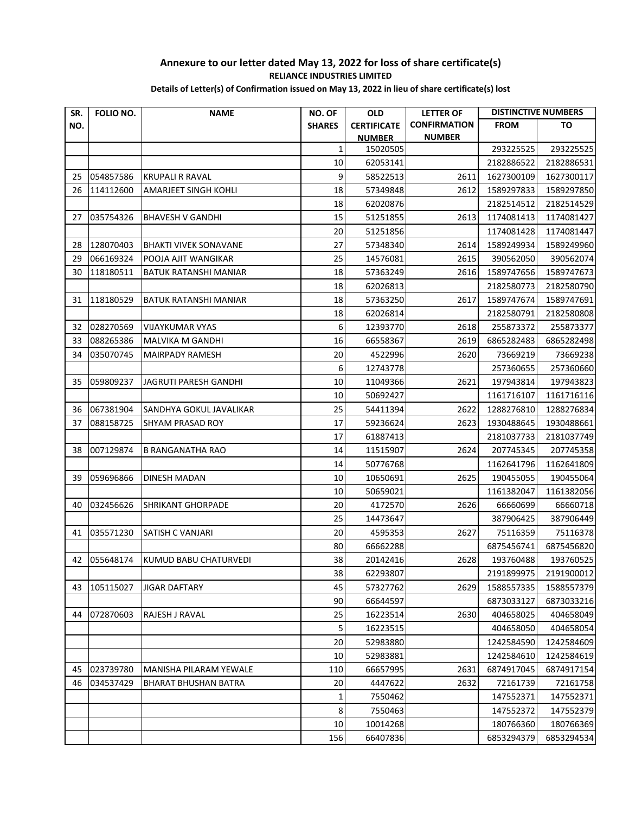| <b>CONFIRMATION</b><br>NO.<br><b>SHARES</b><br><b>CERTIFICATE</b><br><b>FROM</b><br>TO<br><b>NUMBER</b><br><b>NUMBER</b><br>1<br>15020505<br>293225525<br>293225525<br>10<br>62053141<br>2182886522<br>2182886531<br>054857586<br>9<br>2611<br>25<br><b>KRUPALI R RAVAL</b><br>58522513<br>1627300109<br>1627300117<br>26<br>114112600<br>18<br>2612<br>AMARJEET SINGH KOHLI<br>57349848<br>1589297833<br>1589297850<br>18<br>2182514512<br>62020876<br>2182514529<br>15<br>035754326<br><b>BHAVESH V GANDHI</b><br>51251855<br>1174081413<br>1174081427<br>27<br>2613<br>20<br>51251856<br>1174081428<br>1174081447<br>27<br>128070403<br><b>BHAKTI VIVEK SONAVANE</b><br>57348340<br>2614<br>1589249934<br>1589249960<br>28<br>066169324<br>25<br>29<br>POOJA AJIT WANGIKAR<br>14576081<br>2615<br>390562050<br>390562074<br>18<br>30<br>118180511<br>57363249<br>1589747656<br>BATUK RATANSHI MANIAR<br>2616<br>1589747673<br>18<br>62026813<br>2182580773<br>2182580790<br>118180529<br>18<br>31<br>BATUK RATANSHI MANIAR<br>57363250<br>2617<br>1589747674<br>1589747691<br>18<br>62026814<br>2182580791<br>2182580808<br>6<br>32<br>028270569<br><b>VIJAYKUMAR VYAS</b><br>12393770<br>2618<br>255873372<br>255873377<br>33<br>088265386<br>16<br>66558367<br>2619<br>6865282483<br>6865282498<br><b>MALVIKA M GANDHI</b><br>34<br>035070745<br><b>MAIRPADY RAMESH</b><br>20<br>4522996<br>2620<br>73669219<br>73669238<br>6<br>12743778<br>257360655<br>257360660<br>10<br>059809237<br>11049366<br>197943814<br>35<br>JAGRUTI PARESH GANDHI<br>2621<br>197943823<br>10<br>50692427<br>1161716107<br>1161716116<br>067381904<br>SANDHYA GOKUL JAVALIKAR<br>25<br>54411394<br>2622<br>1288276810<br>1288276834<br>36<br>37<br>088158725<br>17<br>1930488645<br>SHYAM PRASAD ROY<br>59236624<br>2623<br>1930488661<br>17<br>61887413<br>2181037733<br>2181037749<br>38<br>007129874<br>14<br>207745345<br><b>B RANGANATHA RAO</b><br>11515907<br>2624<br>207745358<br>14<br>50776768<br>1162641796<br>1162641809<br>39<br>059696866<br>DINESH MADAN<br>10<br>10650691<br>2625<br>190455055<br>190455064<br>10<br>50659021<br>1161382047<br>1161382056<br>20<br>032456626<br><b>SHRIKANT GHORPADE</b><br>4172570<br>2626<br>66660699<br>66660718<br>40<br>25<br>387906425<br>14473647<br>387906449<br>035571230<br><b>SATISH C VANJARI</b><br>20<br>4595353<br>2627<br>41<br>75116359<br>75116378<br>80<br>66662288<br>6875456741<br>38<br>2628<br>193760488<br>42 055648174<br>KUMUD BABU CHATURVEDI<br>20142416<br>38<br>2191899975<br>62293807<br>2191900012<br>105115027<br>45<br>57327762<br>2629<br>1588557335<br>1588557379<br>43<br><b>JIGAR DAFTARY</b><br>90<br>66644597<br>6873033127<br>6873033216<br>072870603<br>404658025<br>RAJESH J RAVAL<br>25<br>16223514<br>2630<br>404658049<br>44<br>5<br>16223515<br>404658050<br>404658054<br>20<br>52983880<br>1242584590<br>1242584609<br>52983881<br>1242584610<br>1242584619<br>10<br>023739780<br>2631<br>45<br>MANISHA PILARAM YEWALE<br>110<br>66657995<br>6874917045<br>6874917154<br>46<br>034537429<br>20<br>4447622<br>2632<br>72161739<br><b>BHARAT BHUSHAN BATRA</b><br>72161758<br>7550462<br>147552371<br>147552371<br>1<br>8<br>147552372<br>7550463<br>147552379<br>$10\,$<br>10014268<br>180766360<br>180766369 | SR. | FOLIO NO. | <b>NAME</b> | NO. OF | <b>OLD</b> | <b>LETTER OF</b> | <b>DISTINCTIVE NUMBERS</b> |  |
|-----------------------------------------------------------------------------------------------------------------------------------------------------------------------------------------------------------------------------------------------------------------------------------------------------------------------------------------------------------------------------------------------------------------------------------------------------------------------------------------------------------------------------------------------------------------------------------------------------------------------------------------------------------------------------------------------------------------------------------------------------------------------------------------------------------------------------------------------------------------------------------------------------------------------------------------------------------------------------------------------------------------------------------------------------------------------------------------------------------------------------------------------------------------------------------------------------------------------------------------------------------------------------------------------------------------------------------------------------------------------------------------------------------------------------------------------------------------------------------------------------------------------------------------------------------------------------------------------------------------------------------------------------------------------------------------------------------------------------------------------------------------------------------------------------------------------------------------------------------------------------------------------------------------------------------------------------------------------------------------------------------------------------------------------------------------------------------------------------------------------------------------------------------------------------------------------------------------------------------------------------------------------------------------------------------------------------------------------------------------------------------------------------------------------------------------------------------------------------------------------------------------------------------------------------------------------------------------------------------------------------------------------------------------------------------------------------------------------------------------------------------------------------------------------------------------------------------------------------------------------------------------------------------------------------------------------------------------------------------------------------------------------------------------------------------------------------------------------------------------------------------------------------------------------------------------------------------------------------------------------------------------------------------------------|-----|-----------|-------------|--------|------------|------------------|----------------------------|--|
| 6875456820<br>193760525                                                                                                                                                                                                                                                                                                                                                                                                                                                                                                                                                                                                                                                                                                                                                                                                                                                                                                                                                                                                                                                                                                                                                                                                                                                                                                                                                                                                                                                                                                                                                                                                                                                                                                                                                                                                                                                                                                                                                                                                                                                                                                                                                                                                                                                                                                                                                                                                                                                                                                                                                                                                                                                                                                                                                                                                                                                                                                                                                                                                                                                                                                                                                                                                                                                                       |     |           |             |        |            |                  |                            |  |
|                                                                                                                                                                                                                                                                                                                                                                                                                                                                                                                                                                                                                                                                                                                                                                                                                                                                                                                                                                                                                                                                                                                                                                                                                                                                                                                                                                                                                                                                                                                                                                                                                                                                                                                                                                                                                                                                                                                                                                                                                                                                                                                                                                                                                                                                                                                                                                                                                                                                                                                                                                                                                                                                                                                                                                                                                                                                                                                                                                                                                                                                                                                                                                                                                                                                                               |     |           |             |        |            |                  |                            |  |
|                                                                                                                                                                                                                                                                                                                                                                                                                                                                                                                                                                                                                                                                                                                                                                                                                                                                                                                                                                                                                                                                                                                                                                                                                                                                                                                                                                                                                                                                                                                                                                                                                                                                                                                                                                                                                                                                                                                                                                                                                                                                                                                                                                                                                                                                                                                                                                                                                                                                                                                                                                                                                                                                                                                                                                                                                                                                                                                                                                                                                                                                                                                                                                                                                                                                                               |     |           |             |        |            |                  |                            |  |
|                                                                                                                                                                                                                                                                                                                                                                                                                                                                                                                                                                                                                                                                                                                                                                                                                                                                                                                                                                                                                                                                                                                                                                                                                                                                                                                                                                                                                                                                                                                                                                                                                                                                                                                                                                                                                                                                                                                                                                                                                                                                                                                                                                                                                                                                                                                                                                                                                                                                                                                                                                                                                                                                                                                                                                                                                                                                                                                                                                                                                                                                                                                                                                                                                                                                                               |     |           |             |        |            |                  |                            |  |
|                                                                                                                                                                                                                                                                                                                                                                                                                                                                                                                                                                                                                                                                                                                                                                                                                                                                                                                                                                                                                                                                                                                                                                                                                                                                                                                                                                                                                                                                                                                                                                                                                                                                                                                                                                                                                                                                                                                                                                                                                                                                                                                                                                                                                                                                                                                                                                                                                                                                                                                                                                                                                                                                                                                                                                                                                                                                                                                                                                                                                                                                                                                                                                                                                                                                                               |     |           |             |        |            |                  |                            |  |
|                                                                                                                                                                                                                                                                                                                                                                                                                                                                                                                                                                                                                                                                                                                                                                                                                                                                                                                                                                                                                                                                                                                                                                                                                                                                                                                                                                                                                                                                                                                                                                                                                                                                                                                                                                                                                                                                                                                                                                                                                                                                                                                                                                                                                                                                                                                                                                                                                                                                                                                                                                                                                                                                                                                                                                                                                                                                                                                                                                                                                                                                                                                                                                                                                                                                                               |     |           |             |        |            |                  |                            |  |
|                                                                                                                                                                                                                                                                                                                                                                                                                                                                                                                                                                                                                                                                                                                                                                                                                                                                                                                                                                                                                                                                                                                                                                                                                                                                                                                                                                                                                                                                                                                                                                                                                                                                                                                                                                                                                                                                                                                                                                                                                                                                                                                                                                                                                                                                                                                                                                                                                                                                                                                                                                                                                                                                                                                                                                                                                                                                                                                                                                                                                                                                                                                                                                                                                                                                                               |     |           |             |        |            |                  |                            |  |
|                                                                                                                                                                                                                                                                                                                                                                                                                                                                                                                                                                                                                                                                                                                                                                                                                                                                                                                                                                                                                                                                                                                                                                                                                                                                                                                                                                                                                                                                                                                                                                                                                                                                                                                                                                                                                                                                                                                                                                                                                                                                                                                                                                                                                                                                                                                                                                                                                                                                                                                                                                                                                                                                                                                                                                                                                                                                                                                                                                                                                                                                                                                                                                                                                                                                                               |     |           |             |        |            |                  |                            |  |
|                                                                                                                                                                                                                                                                                                                                                                                                                                                                                                                                                                                                                                                                                                                                                                                                                                                                                                                                                                                                                                                                                                                                                                                                                                                                                                                                                                                                                                                                                                                                                                                                                                                                                                                                                                                                                                                                                                                                                                                                                                                                                                                                                                                                                                                                                                                                                                                                                                                                                                                                                                                                                                                                                                                                                                                                                                                                                                                                                                                                                                                                                                                                                                                                                                                                                               |     |           |             |        |            |                  |                            |  |
|                                                                                                                                                                                                                                                                                                                                                                                                                                                                                                                                                                                                                                                                                                                                                                                                                                                                                                                                                                                                                                                                                                                                                                                                                                                                                                                                                                                                                                                                                                                                                                                                                                                                                                                                                                                                                                                                                                                                                                                                                                                                                                                                                                                                                                                                                                                                                                                                                                                                                                                                                                                                                                                                                                                                                                                                                                                                                                                                                                                                                                                                                                                                                                                                                                                                                               |     |           |             |        |            |                  |                            |  |
|                                                                                                                                                                                                                                                                                                                                                                                                                                                                                                                                                                                                                                                                                                                                                                                                                                                                                                                                                                                                                                                                                                                                                                                                                                                                                                                                                                                                                                                                                                                                                                                                                                                                                                                                                                                                                                                                                                                                                                                                                                                                                                                                                                                                                                                                                                                                                                                                                                                                                                                                                                                                                                                                                                                                                                                                                                                                                                                                                                                                                                                                                                                                                                                                                                                                                               |     |           |             |        |            |                  |                            |  |
|                                                                                                                                                                                                                                                                                                                                                                                                                                                                                                                                                                                                                                                                                                                                                                                                                                                                                                                                                                                                                                                                                                                                                                                                                                                                                                                                                                                                                                                                                                                                                                                                                                                                                                                                                                                                                                                                                                                                                                                                                                                                                                                                                                                                                                                                                                                                                                                                                                                                                                                                                                                                                                                                                                                                                                                                                                                                                                                                                                                                                                                                                                                                                                                                                                                                                               |     |           |             |        |            |                  |                            |  |
|                                                                                                                                                                                                                                                                                                                                                                                                                                                                                                                                                                                                                                                                                                                                                                                                                                                                                                                                                                                                                                                                                                                                                                                                                                                                                                                                                                                                                                                                                                                                                                                                                                                                                                                                                                                                                                                                                                                                                                                                                                                                                                                                                                                                                                                                                                                                                                                                                                                                                                                                                                                                                                                                                                                                                                                                                                                                                                                                                                                                                                                                                                                                                                                                                                                                                               |     |           |             |        |            |                  |                            |  |
|                                                                                                                                                                                                                                                                                                                                                                                                                                                                                                                                                                                                                                                                                                                                                                                                                                                                                                                                                                                                                                                                                                                                                                                                                                                                                                                                                                                                                                                                                                                                                                                                                                                                                                                                                                                                                                                                                                                                                                                                                                                                                                                                                                                                                                                                                                                                                                                                                                                                                                                                                                                                                                                                                                                                                                                                                                                                                                                                                                                                                                                                                                                                                                                                                                                                                               |     |           |             |        |            |                  |                            |  |
|                                                                                                                                                                                                                                                                                                                                                                                                                                                                                                                                                                                                                                                                                                                                                                                                                                                                                                                                                                                                                                                                                                                                                                                                                                                                                                                                                                                                                                                                                                                                                                                                                                                                                                                                                                                                                                                                                                                                                                                                                                                                                                                                                                                                                                                                                                                                                                                                                                                                                                                                                                                                                                                                                                                                                                                                                                                                                                                                                                                                                                                                                                                                                                                                                                                                                               |     |           |             |        |            |                  |                            |  |
|                                                                                                                                                                                                                                                                                                                                                                                                                                                                                                                                                                                                                                                                                                                                                                                                                                                                                                                                                                                                                                                                                                                                                                                                                                                                                                                                                                                                                                                                                                                                                                                                                                                                                                                                                                                                                                                                                                                                                                                                                                                                                                                                                                                                                                                                                                                                                                                                                                                                                                                                                                                                                                                                                                                                                                                                                                                                                                                                                                                                                                                                                                                                                                                                                                                                                               |     |           |             |        |            |                  |                            |  |
|                                                                                                                                                                                                                                                                                                                                                                                                                                                                                                                                                                                                                                                                                                                                                                                                                                                                                                                                                                                                                                                                                                                                                                                                                                                                                                                                                                                                                                                                                                                                                                                                                                                                                                                                                                                                                                                                                                                                                                                                                                                                                                                                                                                                                                                                                                                                                                                                                                                                                                                                                                                                                                                                                                                                                                                                                                                                                                                                                                                                                                                                                                                                                                                                                                                                                               |     |           |             |        |            |                  |                            |  |
|                                                                                                                                                                                                                                                                                                                                                                                                                                                                                                                                                                                                                                                                                                                                                                                                                                                                                                                                                                                                                                                                                                                                                                                                                                                                                                                                                                                                                                                                                                                                                                                                                                                                                                                                                                                                                                                                                                                                                                                                                                                                                                                                                                                                                                                                                                                                                                                                                                                                                                                                                                                                                                                                                                                                                                                                                                                                                                                                                                                                                                                                                                                                                                                                                                                                                               |     |           |             |        |            |                  |                            |  |
|                                                                                                                                                                                                                                                                                                                                                                                                                                                                                                                                                                                                                                                                                                                                                                                                                                                                                                                                                                                                                                                                                                                                                                                                                                                                                                                                                                                                                                                                                                                                                                                                                                                                                                                                                                                                                                                                                                                                                                                                                                                                                                                                                                                                                                                                                                                                                                                                                                                                                                                                                                                                                                                                                                                                                                                                                                                                                                                                                                                                                                                                                                                                                                                                                                                                                               |     |           |             |        |            |                  |                            |  |
|                                                                                                                                                                                                                                                                                                                                                                                                                                                                                                                                                                                                                                                                                                                                                                                                                                                                                                                                                                                                                                                                                                                                                                                                                                                                                                                                                                                                                                                                                                                                                                                                                                                                                                                                                                                                                                                                                                                                                                                                                                                                                                                                                                                                                                                                                                                                                                                                                                                                                                                                                                                                                                                                                                                                                                                                                                                                                                                                                                                                                                                                                                                                                                                                                                                                                               |     |           |             |        |            |                  |                            |  |
|                                                                                                                                                                                                                                                                                                                                                                                                                                                                                                                                                                                                                                                                                                                                                                                                                                                                                                                                                                                                                                                                                                                                                                                                                                                                                                                                                                                                                                                                                                                                                                                                                                                                                                                                                                                                                                                                                                                                                                                                                                                                                                                                                                                                                                                                                                                                                                                                                                                                                                                                                                                                                                                                                                                                                                                                                                                                                                                                                                                                                                                                                                                                                                                                                                                                                               |     |           |             |        |            |                  |                            |  |
|                                                                                                                                                                                                                                                                                                                                                                                                                                                                                                                                                                                                                                                                                                                                                                                                                                                                                                                                                                                                                                                                                                                                                                                                                                                                                                                                                                                                                                                                                                                                                                                                                                                                                                                                                                                                                                                                                                                                                                                                                                                                                                                                                                                                                                                                                                                                                                                                                                                                                                                                                                                                                                                                                                                                                                                                                                                                                                                                                                                                                                                                                                                                                                                                                                                                                               |     |           |             |        |            |                  |                            |  |
|                                                                                                                                                                                                                                                                                                                                                                                                                                                                                                                                                                                                                                                                                                                                                                                                                                                                                                                                                                                                                                                                                                                                                                                                                                                                                                                                                                                                                                                                                                                                                                                                                                                                                                                                                                                                                                                                                                                                                                                                                                                                                                                                                                                                                                                                                                                                                                                                                                                                                                                                                                                                                                                                                                                                                                                                                                                                                                                                                                                                                                                                                                                                                                                                                                                                                               |     |           |             |        |            |                  |                            |  |
|                                                                                                                                                                                                                                                                                                                                                                                                                                                                                                                                                                                                                                                                                                                                                                                                                                                                                                                                                                                                                                                                                                                                                                                                                                                                                                                                                                                                                                                                                                                                                                                                                                                                                                                                                                                                                                                                                                                                                                                                                                                                                                                                                                                                                                                                                                                                                                                                                                                                                                                                                                                                                                                                                                                                                                                                                                                                                                                                                                                                                                                                                                                                                                                                                                                                                               |     |           |             |        |            |                  |                            |  |
|                                                                                                                                                                                                                                                                                                                                                                                                                                                                                                                                                                                                                                                                                                                                                                                                                                                                                                                                                                                                                                                                                                                                                                                                                                                                                                                                                                                                                                                                                                                                                                                                                                                                                                                                                                                                                                                                                                                                                                                                                                                                                                                                                                                                                                                                                                                                                                                                                                                                                                                                                                                                                                                                                                                                                                                                                                                                                                                                                                                                                                                                                                                                                                                                                                                                                               |     |           |             |        |            |                  |                            |  |
|                                                                                                                                                                                                                                                                                                                                                                                                                                                                                                                                                                                                                                                                                                                                                                                                                                                                                                                                                                                                                                                                                                                                                                                                                                                                                                                                                                                                                                                                                                                                                                                                                                                                                                                                                                                                                                                                                                                                                                                                                                                                                                                                                                                                                                                                                                                                                                                                                                                                                                                                                                                                                                                                                                                                                                                                                                                                                                                                                                                                                                                                                                                                                                                                                                                                                               |     |           |             |        |            |                  |                            |  |
|                                                                                                                                                                                                                                                                                                                                                                                                                                                                                                                                                                                                                                                                                                                                                                                                                                                                                                                                                                                                                                                                                                                                                                                                                                                                                                                                                                                                                                                                                                                                                                                                                                                                                                                                                                                                                                                                                                                                                                                                                                                                                                                                                                                                                                                                                                                                                                                                                                                                                                                                                                                                                                                                                                                                                                                                                                                                                                                                                                                                                                                                                                                                                                                                                                                                                               |     |           |             |        |            |                  |                            |  |
|                                                                                                                                                                                                                                                                                                                                                                                                                                                                                                                                                                                                                                                                                                                                                                                                                                                                                                                                                                                                                                                                                                                                                                                                                                                                                                                                                                                                                                                                                                                                                                                                                                                                                                                                                                                                                                                                                                                                                                                                                                                                                                                                                                                                                                                                                                                                                                                                                                                                                                                                                                                                                                                                                                                                                                                                                                                                                                                                                                                                                                                                                                                                                                                                                                                                                               |     |           |             |        |            |                  |                            |  |
|                                                                                                                                                                                                                                                                                                                                                                                                                                                                                                                                                                                                                                                                                                                                                                                                                                                                                                                                                                                                                                                                                                                                                                                                                                                                                                                                                                                                                                                                                                                                                                                                                                                                                                                                                                                                                                                                                                                                                                                                                                                                                                                                                                                                                                                                                                                                                                                                                                                                                                                                                                                                                                                                                                                                                                                                                                                                                                                                                                                                                                                                                                                                                                                                                                                                                               |     |           |             |        |            |                  |                            |  |
|                                                                                                                                                                                                                                                                                                                                                                                                                                                                                                                                                                                                                                                                                                                                                                                                                                                                                                                                                                                                                                                                                                                                                                                                                                                                                                                                                                                                                                                                                                                                                                                                                                                                                                                                                                                                                                                                                                                                                                                                                                                                                                                                                                                                                                                                                                                                                                                                                                                                                                                                                                                                                                                                                                                                                                                                                                                                                                                                                                                                                                                                                                                                                                                                                                                                                               |     |           |             |        |            |                  |                            |  |
|                                                                                                                                                                                                                                                                                                                                                                                                                                                                                                                                                                                                                                                                                                                                                                                                                                                                                                                                                                                                                                                                                                                                                                                                                                                                                                                                                                                                                                                                                                                                                                                                                                                                                                                                                                                                                                                                                                                                                                                                                                                                                                                                                                                                                                                                                                                                                                                                                                                                                                                                                                                                                                                                                                                                                                                                                                                                                                                                                                                                                                                                                                                                                                                                                                                                                               |     |           |             |        |            |                  |                            |  |
|                                                                                                                                                                                                                                                                                                                                                                                                                                                                                                                                                                                                                                                                                                                                                                                                                                                                                                                                                                                                                                                                                                                                                                                                                                                                                                                                                                                                                                                                                                                                                                                                                                                                                                                                                                                                                                                                                                                                                                                                                                                                                                                                                                                                                                                                                                                                                                                                                                                                                                                                                                                                                                                                                                                                                                                                                                                                                                                                                                                                                                                                                                                                                                                                                                                                                               |     |           |             |        |            |                  |                            |  |
|                                                                                                                                                                                                                                                                                                                                                                                                                                                                                                                                                                                                                                                                                                                                                                                                                                                                                                                                                                                                                                                                                                                                                                                                                                                                                                                                                                                                                                                                                                                                                                                                                                                                                                                                                                                                                                                                                                                                                                                                                                                                                                                                                                                                                                                                                                                                                                                                                                                                                                                                                                                                                                                                                                                                                                                                                                                                                                                                                                                                                                                                                                                                                                                                                                                                                               |     |           |             |        |            |                  |                            |  |
|                                                                                                                                                                                                                                                                                                                                                                                                                                                                                                                                                                                                                                                                                                                                                                                                                                                                                                                                                                                                                                                                                                                                                                                                                                                                                                                                                                                                                                                                                                                                                                                                                                                                                                                                                                                                                                                                                                                                                                                                                                                                                                                                                                                                                                                                                                                                                                                                                                                                                                                                                                                                                                                                                                                                                                                                                                                                                                                                                                                                                                                                                                                                                                                                                                                                                               |     |           |             |        |            |                  |                            |  |
|                                                                                                                                                                                                                                                                                                                                                                                                                                                                                                                                                                                                                                                                                                                                                                                                                                                                                                                                                                                                                                                                                                                                                                                                                                                                                                                                                                                                                                                                                                                                                                                                                                                                                                                                                                                                                                                                                                                                                                                                                                                                                                                                                                                                                                                                                                                                                                                                                                                                                                                                                                                                                                                                                                                                                                                                                                                                                                                                                                                                                                                                                                                                                                                                                                                                                               |     |           |             |        |            |                  |                            |  |
|                                                                                                                                                                                                                                                                                                                                                                                                                                                                                                                                                                                                                                                                                                                                                                                                                                                                                                                                                                                                                                                                                                                                                                                                                                                                                                                                                                                                                                                                                                                                                                                                                                                                                                                                                                                                                                                                                                                                                                                                                                                                                                                                                                                                                                                                                                                                                                                                                                                                                                                                                                                                                                                                                                                                                                                                                                                                                                                                                                                                                                                                                                                                                                                                                                                                                               |     |           |             |        |            |                  |                            |  |
|                                                                                                                                                                                                                                                                                                                                                                                                                                                                                                                                                                                                                                                                                                                                                                                                                                                                                                                                                                                                                                                                                                                                                                                                                                                                                                                                                                                                                                                                                                                                                                                                                                                                                                                                                                                                                                                                                                                                                                                                                                                                                                                                                                                                                                                                                                                                                                                                                                                                                                                                                                                                                                                                                                                                                                                                                                                                                                                                                                                                                                                                                                                                                                                                                                                                                               |     |           |             |        |            |                  |                            |  |
|                                                                                                                                                                                                                                                                                                                                                                                                                                                                                                                                                                                                                                                                                                                                                                                                                                                                                                                                                                                                                                                                                                                                                                                                                                                                                                                                                                                                                                                                                                                                                                                                                                                                                                                                                                                                                                                                                                                                                                                                                                                                                                                                                                                                                                                                                                                                                                                                                                                                                                                                                                                                                                                                                                                                                                                                                                                                                                                                                                                                                                                                                                                                                                                                                                                                                               |     |           |             |        |            |                  |                            |  |
|                                                                                                                                                                                                                                                                                                                                                                                                                                                                                                                                                                                                                                                                                                                                                                                                                                                                                                                                                                                                                                                                                                                                                                                                                                                                                                                                                                                                                                                                                                                                                                                                                                                                                                                                                                                                                                                                                                                                                                                                                                                                                                                                                                                                                                                                                                                                                                                                                                                                                                                                                                                                                                                                                                                                                                                                                                                                                                                                                                                                                                                                                                                                                                                                                                                                                               |     |           |             |        |            |                  |                            |  |
|                                                                                                                                                                                                                                                                                                                                                                                                                                                                                                                                                                                                                                                                                                                                                                                                                                                                                                                                                                                                                                                                                                                                                                                                                                                                                                                                                                                                                                                                                                                                                                                                                                                                                                                                                                                                                                                                                                                                                                                                                                                                                                                                                                                                                                                                                                                                                                                                                                                                                                                                                                                                                                                                                                                                                                                                                                                                                                                                                                                                                                                                                                                                                                                                                                                                                               |     |           |             |        |            |                  |                            |  |
|                                                                                                                                                                                                                                                                                                                                                                                                                                                                                                                                                                                                                                                                                                                                                                                                                                                                                                                                                                                                                                                                                                                                                                                                                                                                                                                                                                                                                                                                                                                                                                                                                                                                                                                                                                                                                                                                                                                                                                                                                                                                                                                                                                                                                                                                                                                                                                                                                                                                                                                                                                                                                                                                                                                                                                                                                                                                                                                                                                                                                                                                                                                                                                                                                                                                                               |     |           |             |        |            |                  |                            |  |
|                                                                                                                                                                                                                                                                                                                                                                                                                                                                                                                                                                                                                                                                                                                                                                                                                                                                                                                                                                                                                                                                                                                                                                                                                                                                                                                                                                                                                                                                                                                                                                                                                                                                                                                                                                                                                                                                                                                                                                                                                                                                                                                                                                                                                                                                                                                                                                                                                                                                                                                                                                                                                                                                                                                                                                                                                                                                                                                                                                                                                                                                                                                                                                                                                                                                                               |     |           |             |        |            |                  |                            |  |
|                                                                                                                                                                                                                                                                                                                                                                                                                                                                                                                                                                                                                                                                                                                                                                                                                                                                                                                                                                                                                                                                                                                                                                                                                                                                                                                                                                                                                                                                                                                                                                                                                                                                                                                                                                                                                                                                                                                                                                                                                                                                                                                                                                                                                                                                                                                                                                                                                                                                                                                                                                                                                                                                                                                                                                                                                                                                                                                                                                                                                                                                                                                                                                                                                                                                                               |     |           |             |        |            |                  |                            |  |
|                                                                                                                                                                                                                                                                                                                                                                                                                                                                                                                                                                                                                                                                                                                                                                                                                                                                                                                                                                                                                                                                                                                                                                                                                                                                                                                                                                                                                                                                                                                                                                                                                                                                                                                                                                                                                                                                                                                                                                                                                                                                                                                                                                                                                                                                                                                                                                                                                                                                                                                                                                                                                                                                                                                                                                                                                                                                                                                                                                                                                                                                                                                                                                                                                                                                                               |     |           |             |        |            |                  |                            |  |
|                                                                                                                                                                                                                                                                                                                                                                                                                                                                                                                                                                                                                                                                                                                                                                                                                                                                                                                                                                                                                                                                                                                                                                                                                                                                                                                                                                                                                                                                                                                                                                                                                                                                                                                                                                                                                                                                                                                                                                                                                                                                                                                                                                                                                                                                                                                                                                                                                                                                                                                                                                                                                                                                                                                                                                                                                                                                                                                                                                                                                                                                                                                                                                                                                                                                                               |     |           |             |        |            |                  |                            |  |
| 156<br>66407836<br>6853294379<br>6853294534                                                                                                                                                                                                                                                                                                                                                                                                                                                                                                                                                                                                                                                                                                                                                                                                                                                                                                                                                                                                                                                                                                                                                                                                                                                                                                                                                                                                                                                                                                                                                                                                                                                                                                                                                                                                                                                                                                                                                                                                                                                                                                                                                                                                                                                                                                                                                                                                                                                                                                                                                                                                                                                                                                                                                                                                                                                                                                                                                                                                                                                                                                                                                                                                                                                   |     |           |             |        |            |                  |                            |  |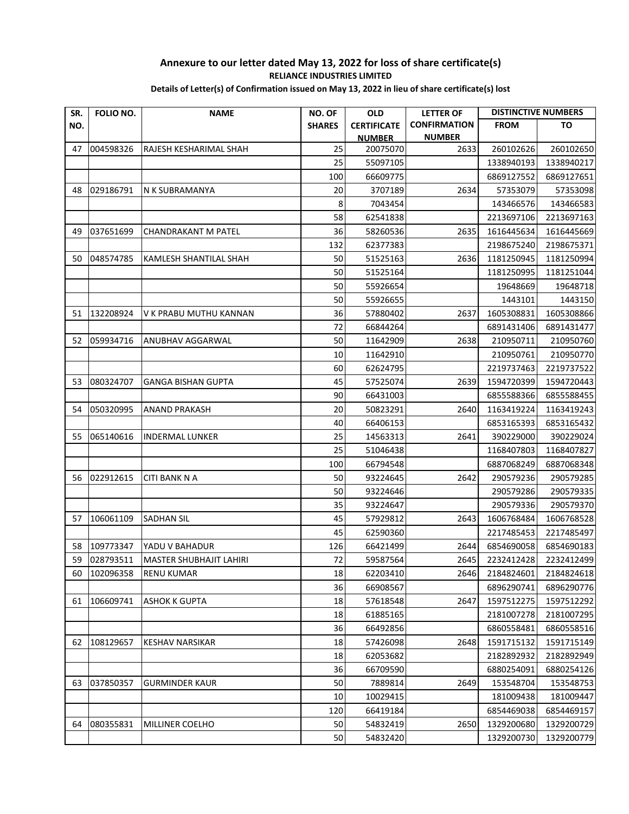| SR. | FOLIO NO. | <b>NAME</b>                    | NO. OF        | <b>OLD</b>         | <b>LETTER OF</b>    | <b>DISTINCTIVE NUMBERS</b> |            |
|-----|-----------|--------------------------------|---------------|--------------------|---------------------|----------------------------|------------|
| NO. |           |                                | <b>SHARES</b> | <b>CERTIFICATE</b> | <b>CONFIRMATION</b> | <b>FROM</b>                | ΤО         |
|     |           |                                |               | <b>NUMBER</b>      | <b>NUMBER</b>       |                            |            |
| 47  | 004598326 | RAJESH KESHARIMAL SHAH         | 25            | 20075070           | 2633                | 260102626                  | 260102650  |
|     |           |                                | 25            | 55097105           |                     | 1338940193                 | 1338940217 |
|     |           |                                | 100           | 66609775           |                     | 6869127552                 | 6869127651 |
| 48  | 029186791 | N K SUBRAMANYA                 | 20            | 3707189            | 2634                | 57353079                   | 57353098   |
|     |           |                                | 8             | 7043454            |                     | 143466576                  | 143466583  |
|     |           |                                | 58            | 62541838           |                     | 2213697106                 | 2213697163 |
| 49  | 037651699 | <b>CHANDRAKANT M PATEL</b>     | 36            | 58260536           | 2635                | 1616445634                 | 1616445669 |
|     |           |                                | 132           | 62377383           |                     | 2198675240                 | 2198675371 |
| 50  | 048574785 | KAMLESH SHANTILAL SHAH         | 50            | 51525163           | 2636                | 1181250945                 | 1181250994 |
|     |           |                                | 50            | 51525164           |                     | 1181250995                 | 1181251044 |
|     |           |                                | 50            | 55926654           |                     | 19648669                   | 19648718   |
|     |           |                                | 50            | 55926655           |                     | 1443101                    | 1443150    |
| 51  | 132208924 | V K PRABU MUTHU KANNAN         | 36            | 57880402           | 2637                | 1605308831                 | 1605308866 |
|     |           |                                | 72            | 66844264           |                     | 6891431406                 | 6891431477 |
| 52  | 059934716 | <b>ANUBHAV AGGARWAL</b>        | 50            | 11642909           | 2638                | 210950711                  | 210950760  |
|     |           |                                | 10            | 11642910           |                     | 210950761                  | 210950770  |
|     |           |                                | 60            | 62624795           |                     | 2219737463                 | 2219737522 |
| 53  | 080324707 | GANGA BISHAN GUPTA             | 45            | 57525074           | 2639                | 1594720399                 | 1594720443 |
|     |           |                                | 90            | 66431003           |                     | 6855588366                 | 6855588455 |
| 54  | 050320995 | <b>ANAND PRAKASH</b>           | 20            | 50823291           | 2640                | 1163419224                 | 1163419243 |
|     |           |                                | 40            | 66406153           |                     | 6853165393                 | 6853165432 |
| 55  | 065140616 | <b>INDERMAL LUNKER</b>         | 25            | 14563313           | 2641                | 390229000                  | 390229024  |
|     |           |                                | 25            | 51046438           |                     | 1168407803                 | 1168407827 |
|     |           |                                | 100           | 66794548           |                     | 6887068249                 | 6887068348 |
| 56  | 022912615 | <b>CITI BANK N A</b>           | 50            | 93224645           | 2642                | 290579236                  | 290579285  |
|     |           |                                | 50            | 93224646           |                     | 290579286                  | 290579335  |
|     |           |                                | 35            | 93224647           |                     | 290579336                  | 290579370  |
| 57  | 106061109 | SADHAN SIL                     | 45            | 57929812           | 2643                | 1606768484                 | 1606768528 |
|     |           |                                | 45            | 62590360           |                     | 2217485453                 | 2217485497 |
| 58  | 109773347 | YADU V BAHADUR                 | 126           | 66421499           | 2644                | 6854690058                 | 6854690183 |
| 59  | 028793511 | <b>MASTER SHUBHAJIT LAHIRI</b> | 72            | 59587564           | 2645                | 2232412428                 | 2232412499 |
| 60  | 102096358 | <b>RENU KUMAR</b>              | 18            | 62203410           | 2646                | 2184824601                 | 2184824618 |
|     |           |                                | 36            | 66908567           |                     | 6896290741                 | 6896290776 |
| 61  | 106609741 | <b>ASHOK K GUPTA</b>           | 18            | 57618548           | 2647                | 1597512275                 | 1597512292 |
|     |           |                                | 18            | 61885165           |                     | 2181007278                 | 2181007295 |
|     |           |                                | 36            | 66492856           |                     | 6860558481                 | 6860558516 |
| 62  | 108129657 | KESHAV NARSIKAR                | 18            | 57426098           | 2648                | 1591715132                 | 1591715149 |
|     |           |                                | 18            | 62053682           |                     | 2182892932                 | 2182892949 |
|     |           |                                | 36            | 66709590           |                     | 6880254091                 | 6880254126 |
| 63  | 037850357 | <b>GURMINDER KAUR</b>          | 50            | 7889814            | 2649                | 153548704                  | 153548753  |
|     |           |                                | 10            | 10029415           |                     | 181009438                  | 181009447  |
|     |           |                                | 120           | 66419184           |                     | 6854469038                 | 6854469157 |
| 64  | 080355831 | MILLINER COELHO                | 50            | 54832419           | 2650                | 1329200680                 | 1329200729 |
|     |           |                                | 50            | 54832420           |                     | 1329200730                 | 1329200779 |